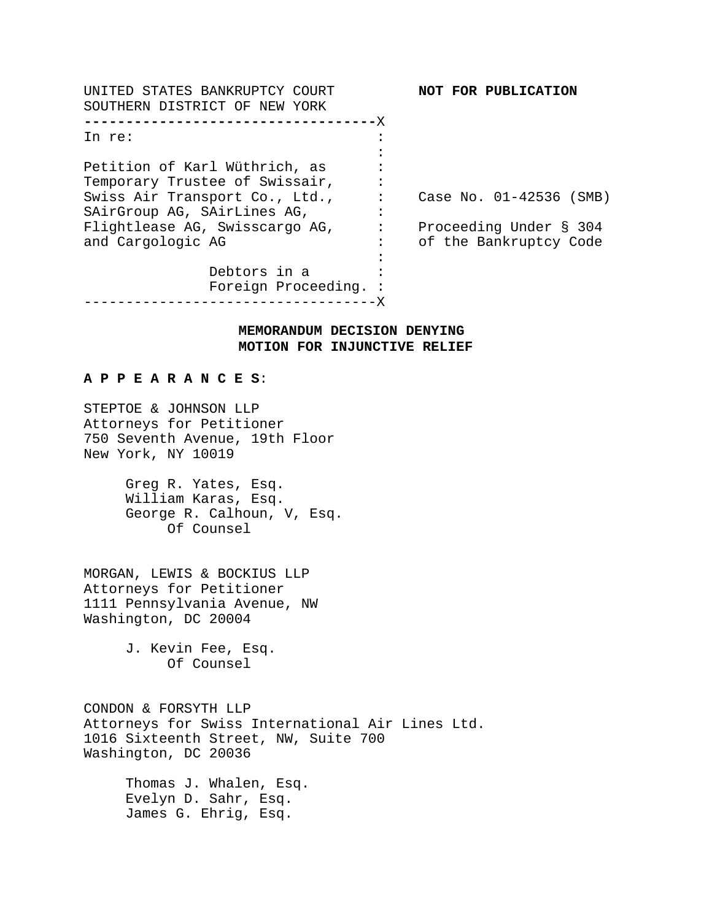| UNITED STATES BANKRUPTCY COURT<br>SOUTHERN DISTRICT OF NEW YORK | NOT FOR PUBLICATION     |
|-----------------------------------------------------------------|-------------------------|
| ------------------------------X                                 |                         |
| In re:                                                          |                         |
|                                                                 |                         |
| Petition of Karl Wüthrich, as                                   |                         |
| Temporary Trustee of Swissair,                                  |                         |
| Swiss Air Transport Co., Ltd.,                                  | Case No. 01-42536 (SMB) |
| SAirGroup AG, SAirLines AG,                                     |                         |
| Flightlease AG, Swisscargo AG,                                  | Proceeding Under § 304  |
| and Cargologic AG                                               | of the Bankruptcy Code  |
|                                                                 |                         |
| Debtors in a                                                    |                         |
| Foreign Proceeding. :                                           |                         |
|                                                                 |                         |

# **MEMORANDUM DECISION DENYING MOTION FOR INJUNCTIVE RELIEF**

#### **A P P E A R A N C E S**:

STEPTOE & JOHNSON LLP Attorneys for Petitioner 750 Seventh Avenue, 19th Floor New York, NY 10019

> Greg R. Yates, Esq. William Karas, Esq. George R. Calhoun, V, Esq. Of Counsel

MORGAN, LEWIS & BOCKIUS LLP Attorneys for Petitioner 1111 Pennsylvania Avenue, NW Washington, DC 20004

> J. Kevin Fee, Esq. Of Counsel

CONDON & FORSYTH LLP Attorneys for Swiss International Air Lines Ltd. 1016 Sixteenth Street, NW, Suite 700 Washington, DC 20036

> Thomas J. Whalen, Esq. Evelyn D. Sahr, Esq. James G. Ehrig, Esq.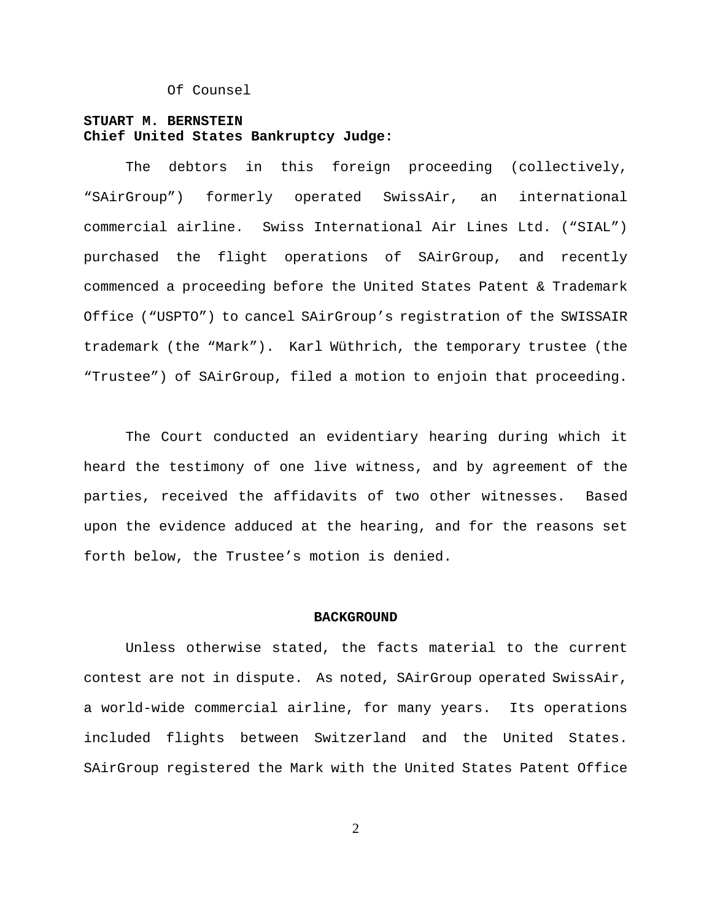Of Counsel

# **STUART M. BERNSTEIN Chief United States Bankruptcy Judge:**

The debtors in this foreign proceeding (collectively, "SAirGroup") formerly operated SwissAir, an international commercial airline. Swiss International Air Lines Ltd. ("SIAL") purchased the flight operations of SAirGroup, and recently commenced a proceeding before the United States Patent & Trademark Office ("USPTO") to cancel SAirGroup's registration of the SWISSAIR trademark (the "Mark"). Karl Wüthrich, the temporary trustee (the "Trustee") of SAirGroup, filed a motion to enjoin that proceeding.

The Court conducted an evidentiary hearing during which it heard the testimony of one live witness, and by agreement of the parties, received the affidavits of two other witnesses. Based upon the evidence adduced at the hearing, and for the reasons set forth below, the Trustee's motion is denied.

#### **BACKGROUND**

Unless otherwise stated, the facts material to the current contest are not in dispute. As noted, SAirGroup operated SwissAir, a world-wide commercial airline, for many years. Its operations included flights between Switzerland and the United States. SAirGroup registered the Mark with the United States Patent Office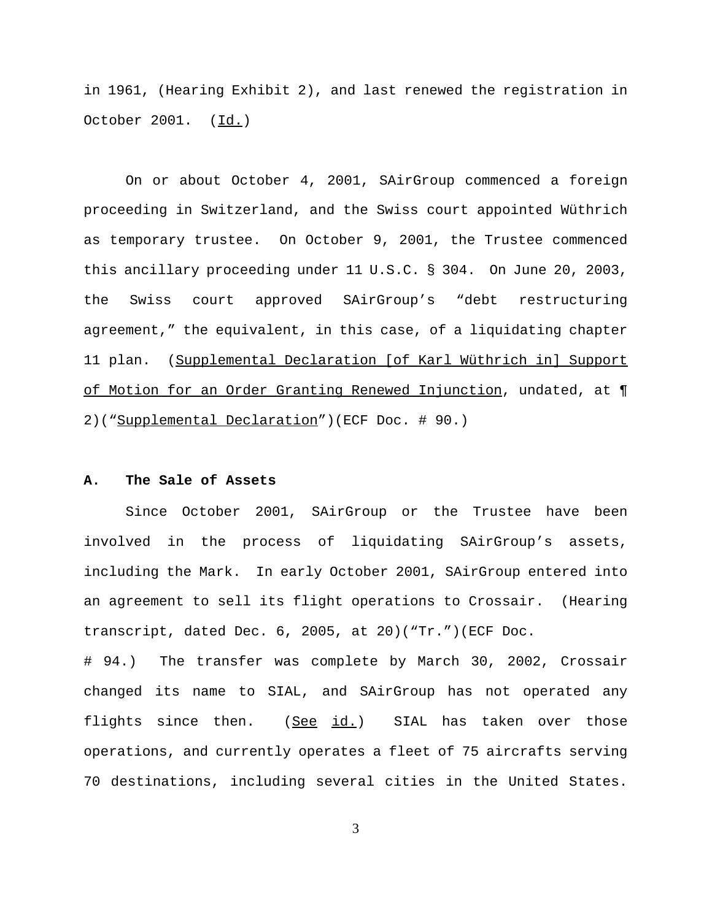in 1961, (Hearing Exhibit 2), and last renewed the registration in October 2001. (Id.)

On or about October 4, 2001, SAirGroup commenced a foreign proceeding in Switzerland, and the Swiss court appointed Wüthrich as temporary trustee. On October 9, 2001, the Trustee commenced this ancillary proceeding under 11 U.S.C. § 304. On June 20, 2003, the Swiss court approved SAirGroup's "debt restructuring agreement," the equivalent, in this case, of a liquidating chapter 11 plan. (Supplemental Declaration [of Karl Wüthrich in] Support of Motion for an Order Granting Renewed Injunction, undated, at ¶ 2)("Supplemental Declaration")(ECF Doc. # 90.)

# **A. The Sale of Assets**

Since October 2001, SAirGroup or the Trustee have been involved in the process of liquidating SAirGroup's assets, including the Mark. In early October 2001, SAirGroup entered into an agreement to sell its flight operations to Crossair. (Hearing transcript, dated Dec. 6, 2005, at 20)("Tr.")(ECF Doc.

# 94.) The transfer was complete by March 30, 2002, Crossair changed its name to SIAL, and SAirGroup has not operated any flights since then.  $(See id.)$  SIAL has taken over those operations, and currently operates a fleet of 75 aircrafts serving 70 destinations, including several cities in the United States.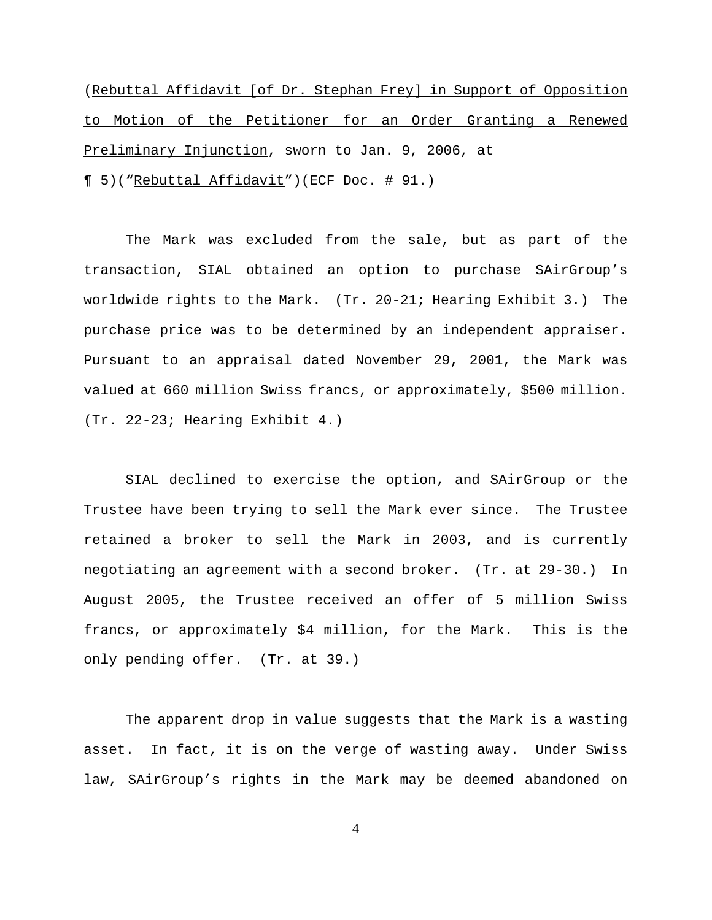(Rebuttal Affidavit [of Dr. Stephan Frey] in Support of Opposition to Motion of the Petitioner for an Order Granting a Renewed Preliminary Injunction, sworn to Jan. 9, 2006, at ¶ 5)("Rebuttal Affidavit")(ECF Doc. # 91.)

The Mark was excluded from the sale, but as part of the transaction, SIAL obtained an option to purchase SAirGroup's worldwide rights to the Mark. (Tr. 20-21; Hearing Exhibit 3.) The purchase price was to be determined by an independent appraiser. Pursuant to an appraisal dated November 29, 2001, the Mark was valued at 660 million Swiss francs, or approximately, \$500 million. (Tr. 22-23; Hearing Exhibit 4.)

SIAL declined to exercise the option, and SAirGroup or the Trustee have been trying to sell the Mark ever since. The Trustee retained a broker to sell the Mark in 2003, and is currently negotiating an agreement with a second broker. (Tr. at 29-30.) In August 2005, the Trustee received an offer of 5 million Swiss francs, or approximately \$4 million, for the Mark. This is the only pending offer. (Tr. at 39.)

The apparent drop in value suggests that the Mark is a wasting asset. In fact, it is on the verge of wasting away. Under Swiss law, SAirGroup's rights in the Mark may be deemed abandoned on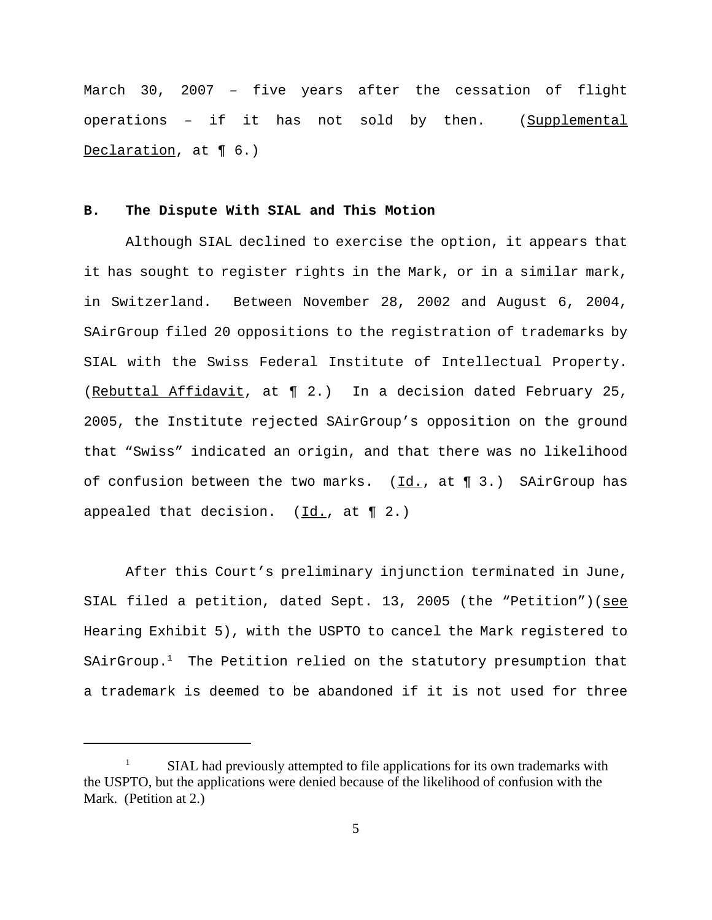March 30, 2007 – five years after the cessation of flight operations – if it has not sold by then. (Supplemental Declaration, at ¶ 6.)

# **B. The Dispute With SIAL and This Motion**

Although SIAL declined to exercise the option, it appears that it has sought to register rights in the Mark, or in a similar mark, in Switzerland. Between November 28, 2002 and August 6, 2004, SAirGroup filed 20 oppositions to the registration of trademarks by SIAL with the Swiss Federal Institute of Intellectual Property. (Rebuttal Affidavit, at ¶ 2.) In a decision dated February 25, 2005, the Institute rejected SAirGroup's opposition on the ground that "Swiss" indicated an origin, and that there was no likelihood of confusion between the two marks.  $(\underline{Id}, f)$  at  $\P$  3.) SAirGroup has appealed that decision.  $(\underline{Id.}, at \P 2.)$ 

After this Court's preliminary injunction terminated in June, SIAL filed a petition, dated Sept. 13, 2005 (the "Petition")(see Hearing Exhibit 5), with the USPTO to cancel the Mark registered to SAirGroup. $<sup>1</sup>$  The Petition relied on the statutory presumption that</sup> a trademark is deemed to be abandoned if it is not used for three

<sup>1</sup> SIAL had previously attempted to file applications for its own trademarks with the USPTO, but the applications were denied because of the likelihood of confusion with the Mark. (Petition at 2.)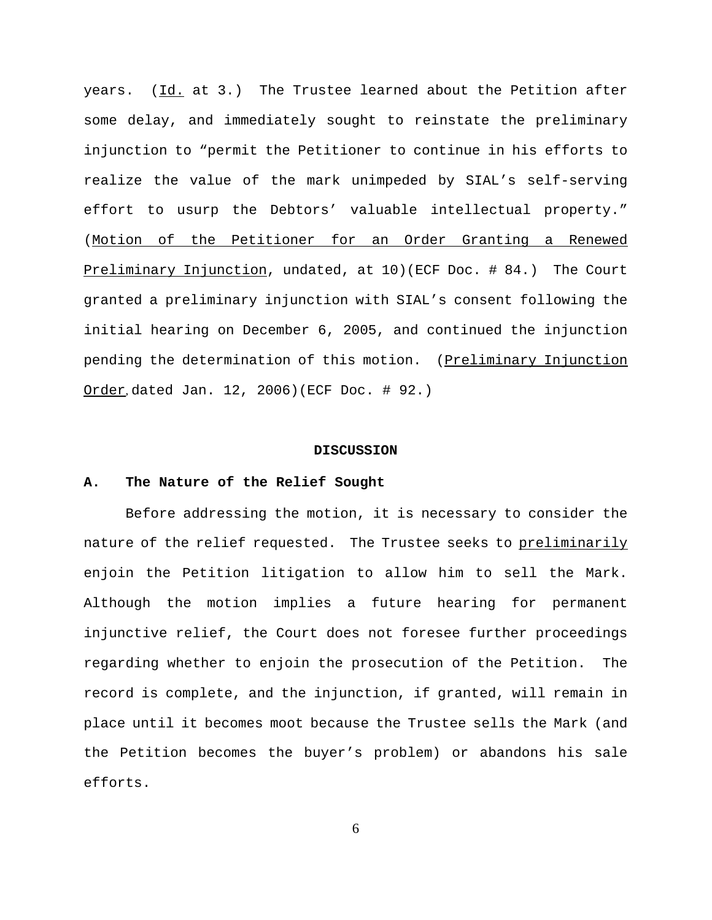years. (Id. at 3.) The Trustee learned about the Petition after some delay, and immediately sought to reinstate the preliminary injunction to "permit the Petitioner to continue in his efforts to realize the value of the mark unimpeded by SIAL's self-serving effort to usurp the Debtors' valuable intellectual property." (Motion of the Petitioner for an Order Granting a Renewed Preliminary Injunction, undated, at 10)(ECF Doc. # 84.) The Court granted a preliminary injunction with SIAL's consent following the initial hearing on December 6, 2005, and continued the injunction pending the determination of this motion. (Preliminary Injunction Order, dated Jan. 12, 2006)(ECF Doc. # 92.)

#### **DISCUSSION**

#### **A. The Nature of the Relief Sought**

Before addressing the motion, it is necessary to consider the nature of the relief requested. The Trustee seeks to preliminarily enjoin the Petition litigation to allow him to sell the Mark. Although the motion implies a future hearing for permanent injunctive relief, the Court does not foresee further proceedings regarding whether to enjoin the prosecution of the Petition. The record is complete, and the injunction, if granted, will remain in place until it becomes moot because the Trustee sells the Mark (and the Petition becomes the buyer's problem) or abandons his sale efforts.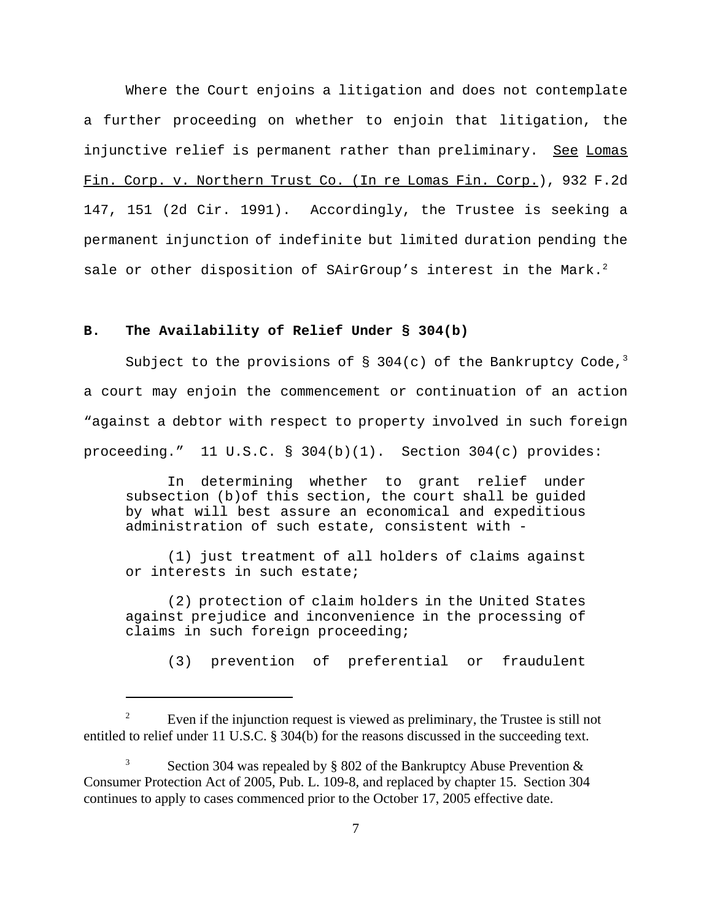Where the Court enjoins a litigation and does not contemplate a further proceeding on whether to enjoin that litigation, the injunctive relief is permanent rather than preliminary. See Lomas Fin. Corp. v. Northern Trust Co. (In re Lomas Fin. Corp.), 932 F.2d 147, 151 (2d Cir. 1991). Accordingly, the Trustee is seeking a permanent injunction of indefinite but limited duration pending the sale or other disposition of SAirGroup's interest in the Mark.<sup>2</sup>

# **B. The Availability of Relief Under § 304(b)**

Subject to the provisions of § 304(c) of the Bankruptcy Code,<sup>3</sup> a court may enjoin the commencement or continuation of an action "against a debtor with respect to property involved in such foreign proceeding." 11 U.S.C. § 304(b)(1). Section 304(c) provides:

In determining whether to grant relief under subsection (b)of this section, the court shall be guided by what will best assure an economical and expeditious administration of such estate, consistent with -

(1) just treatment of all holders of claims against or interests in such estate;

(2) protection of claim holders in the United States against prejudice and inconvenience in the processing of claims in such foreign proceeding;

(3) prevention of preferential or fraudulent

<sup>&</sup>lt;sup>2</sup> Even if the injunction request is viewed as preliminary, the Trustee is still not entitled to relief under 11 U.S.C. § 304(b) for the reasons discussed in the succeeding text.

<sup>&</sup>lt;sup>3</sup> Section 304 was repealed by § 802 of the Bankruptcy Abuse Prevention  $\&$ Consumer Protection Act of 2005, Pub. L. 109-8, and replaced by chapter 15. Section 304 continues to apply to cases commenced prior to the October 17, 2005 effective date.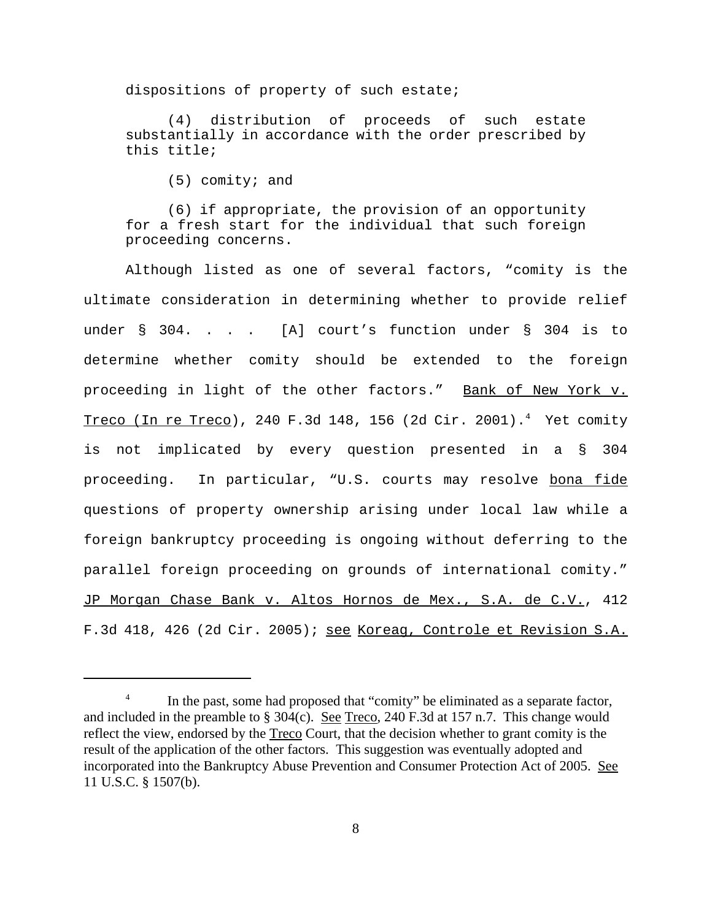dispositions of property of such estate;

(4) distribution of proceeds of such estate substantially in accordance with the order prescribed by this title;

(5) comity; and

(6) if appropriate, the provision of an opportunity for a fresh start for the individual that such foreign proceeding concerns.

Although listed as one of several factors, "comity is the ultimate consideration in determining whether to provide relief under § 304. . . . [A] court's function under § 304 is to determine whether comity should be extended to the foreign proceeding in light of the other factors." Bank of New York v. Treco (In re Treco), 240 F.3d 148, 156 (2d Cir. 2001).<sup>4</sup> Yet comity is not implicated by every question presented in a § 304 proceeding. In particular, "U.S. courts may resolve bona fide questions of property ownership arising under local law while a foreign bankruptcy proceeding is ongoing without deferring to the parallel foreign proceeding on grounds of international comity." JP Morgan Chase Bank v. Altos Hornos de Mex., S.A. de C.V., 412 F.3d 418, 426 (2d Cir. 2005); see Koreag, Controle et Revision S.A.

<sup>&</sup>lt;sup>4</sup> In the past, some had proposed that "comity" be eliminated as a separate factor, and included in the preamble to  $\S 304(c)$ . See Treco, 240 F.3d at 157 n.7. This change would reflect the view, endorsed by the <u>Treco</u> Court, that the decision whether to grant comity is the result of the application of the other factors. This suggestion was eventually adopted and incorporated into the Bankruptcy Abuse Prevention and Consumer Protection Act of 2005. See 11 U.S.C. § 1507(b).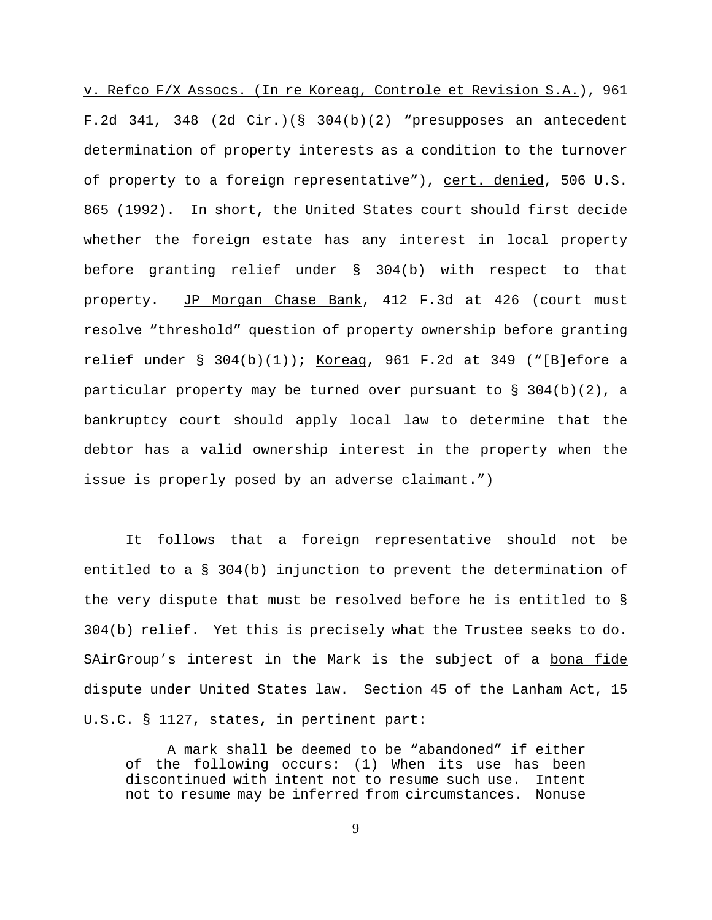v. Refco F/X Assocs. (In re Koreag, Controle et Revision S.A.), 961 F.2d 341, 348 (2d Cir.)(§ 304(b)(2) "presupposes an antecedent determination of property interests as a condition to the turnover of property to a foreign representative"), cert. denied, 506 U.S. 865 (1992). In short, the United States court should first decide whether the foreign estate has any interest in local property before granting relief under § 304(b) with respect to that property. JP Morgan Chase Bank, 412 F.3d at 426 (court must resolve "threshold" question of property ownership before granting relief under  $\S$  304(b)(1)); Koreag, 961 F.2d at 349 ("[B]efore a particular property may be turned over pursuant to  $\S$  304(b)(2), a bankruptcy court should apply local law to determine that the debtor has a valid ownership interest in the property when the issue is properly posed by an adverse claimant.")

It follows that a foreign representative should not be entitled to a § 304(b) injunction to prevent the determination of the very dispute that must be resolved before he is entitled to § 304(b) relief. Yet this is precisely what the Trustee seeks to do. SAirGroup's interest in the Mark is the subject of a bona fide dispute under United States law. Section 45 of the Lanham Act, 15 U.S.C. § 1127, states, in pertinent part:

A mark shall be deemed to be "abandoned" if either of the following occurs: (1) When its use has been discontinued with intent not to resume such use. Intent not to resume may be inferred from circumstances. Nonuse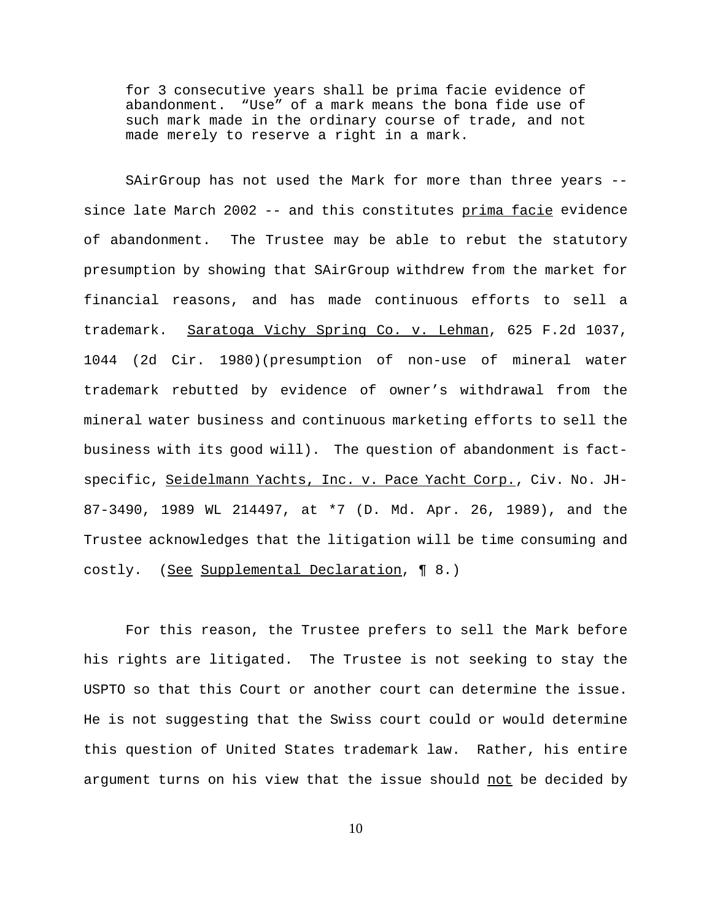for 3 consecutive years shall be prima facie evidence of abandonment. "Use" of a mark means the bona fide use of such mark made in the ordinary course of trade, and not made merely to reserve a right in a mark.

SAirGroup has not used the Mark for more than three years - since late March 2002 -- and this constitutes prima facie evidence of abandonment. The Trustee may be able to rebut the statutory presumption by showing that SAirGroup withdrew from the market for financial reasons, and has made continuous efforts to sell a trademark. Saratoga Vichy Spring Co. v. Lehman, 625 F.2d 1037, 1044 (2d Cir. 1980)(presumption of non-use of mineral water trademark rebutted by evidence of owner's withdrawal from the mineral water business and continuous marketing efforts to sell the business with its good will). The question of abandonment is factspecific, Seidelmann Yachts, Inc. v. Pace Yacht Corp., Civ. No. JH-87-3490, 1989 WL 214497, at \*7 (D. Md. Apr. 26, 1989), and the Trustee acknowledges that the litigation will be time consuming and costly. (See Supplemental Declaration, 18.)

For this reason, the Trustee prefers to sell the Mark before his rights are litigated. The Trustee is not seeking to stay the USPTO so that this Court or another court can determine the issue. He is not suggesting that the Swiss court could or would determine this question of United States trademark law. Rather, his entire argument turns on his view that the issue should not be decided by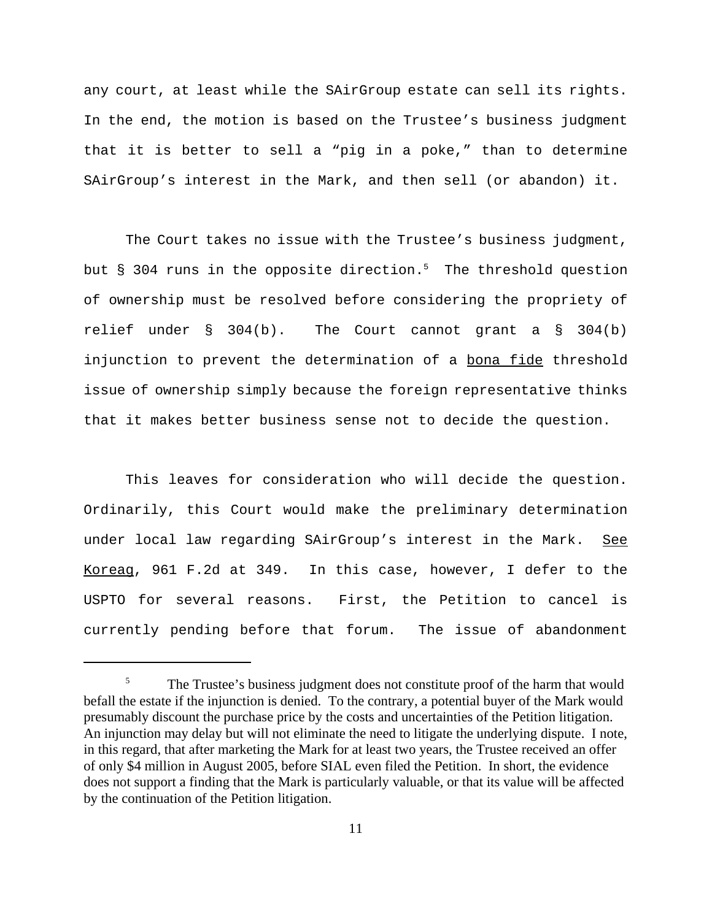any court, at least while the SAirGroup estate can sell its rights. In the end, the motion is based on the Trustee's business judgment that it is better to sell a "pig in a poke," than to determine SAirGroup's interest in the Mark, and then sell (or abandon) it.

The Court takes no issue with the Trustee's business judgment, but § 304 runs in the opposite direction.<sup>5</sup> The threshold question of ownership must be resolved before considering the propriety of relief under  $\S$  304(b). The Court cannot grant a  $\S$  304(b) injunction to prevent the determination of a bona fide threshold issue of ownership simply because the foreign representative thinks that it makes better business sense not to decide the question.

This leaves for consideration who will decide the question. Ordinarily, this Court would make the preliminary determination under local law regarding SAirGroup's interest in the Mark. See Koreag, 961 F.2d at 349. In this case, however, I defer to the USPTO for several reasons. First, the Petition to cancel is currently pending before that forum. The issue of abandonment

<sup>&</sup>lt;sup>5</sup> The Trustee's business judgment does not constitute proof of the harm that would befall the estate if the injunction is denied. To the contrary, a potential buyer of the Mark would presumably discount the purchase price by the costs and uncertainties of the Petition litigation. An injunction may delay but will not eliminate the need to litigate the underlying dispute. I note, in this regard, that after marketing the Mark for at least two years, the Trustee received an offer of only \$4 million in August 2005, before SIAL even filed the Petition. In short, the evidence does not support a finding that the Mark is particularly valuable, or that its value will be affected by the continuation of the Petition litigation.